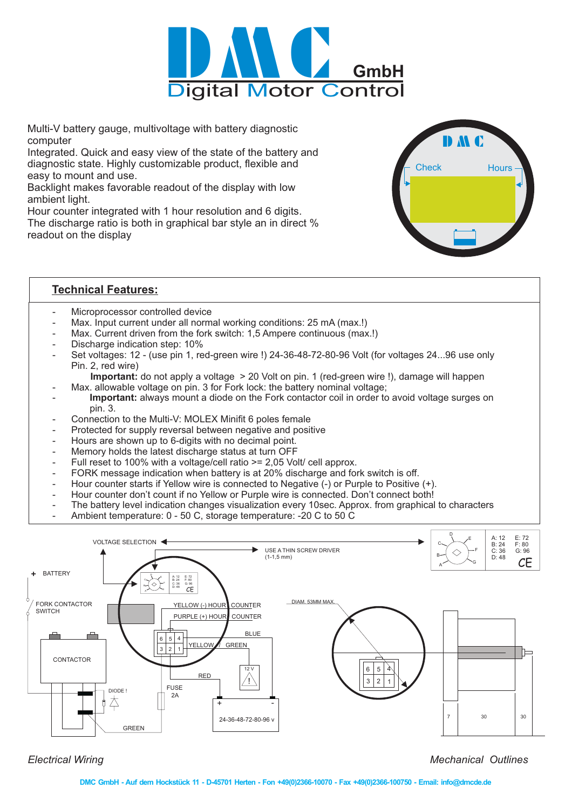

Multi-V battery gauge, multivoltage with battery diagnostic computer

Integrated. Quick and easy view of the state of the battery and diagnostic state. Highly customizable product, flexible and easy to mount and use.

Backlight makes favorable readout of the display with low ambient light.

Hour counter integrated with 1 hour resolution and 6 digits. The discharge ratio is both in graphical bar style an in direct % readout on the display



## **Technical Features:**

- Microprocessor controlled device
- Max. Input current under all normal working conditions: 25 mA (max.!)
- Max. Current driven from the fork switch: 1,5 Ampere continuous (max.!)
- Discharge indication step: 10%
- Set voltages: 12 (use pin 1, red-green wire !) 24-36-48-72-80-96 Volt (for voltages 24...96 use only Pin. 2, red wire)

Important: do not apply a voltage > 20 Volt on pin. 1 (red-green wire !), damage will happen

- Max. allowable voltage on pin. 3 for Fork lock: the battery nominal voltage;
- Important: always mount a diode on the Fork contactor coil in order to avoid voltage surges on pin. 3.
- Connection to the Multi-V: MOLEX Minifit 6 poles female
- Protected for supply reversal between negative and positive
- Hours are shown up to 6-digits with no decimal point.
- Memory holds the latest discharge status at turn OFF
- Full reset to 100% with a voltage/cell ratio >= 2,05 Volt/ cell approx.
- FORK message indication when battery is at 20% discharge and fork switch is off.
- Hour counter starts if Yellow wire is connected to Negative (-) or Purple to Positive (+).
- Hour counter don't count if no Yellow or Purple wire is connected. Don't connect both!
- The battery level indication changes visualization every 10sec. Approx. from graphical to characters
- Ambient temperature: 0 50 C, storage temperature: -20 C to 50 C



*Electrical Wiring*

*Mechanical Outlines*

**DMC GmbH - Auf dem Hockstück 11 - D-45701 Herten - Fon +49(0)2366-10070 - Fax +49(0)2366-100750 - Email: info@dmcde.de**